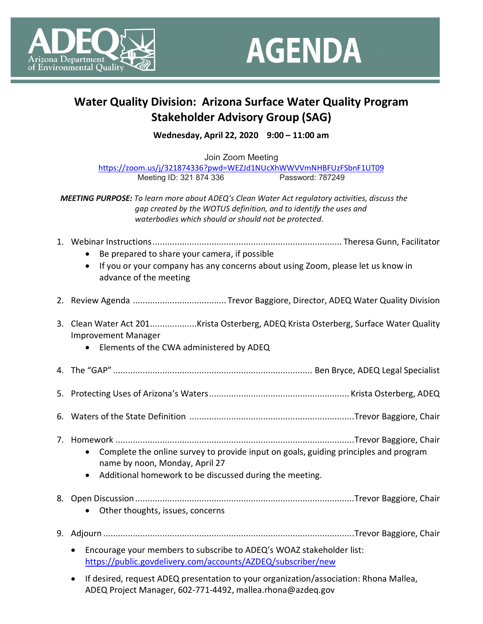



## **Water Quality Division: Arizona Surface Water Quality Program Stakeholder Advisory Group (SAG)**

**Wednesday, April 22, 2020 9:00 – 11:00 am**

Join Zoom Meeting <https://zoom.us/j/321874336?pwd=WEZJd1NUcXhWWVVmNHBFUzFSbnF1UT09><br>Meeting ID: 321 874 336 Password: 787249 Meeting ID: 321 874 336

*MEETING PURPOSE: To learn more about ADEQ's Clean Water Act regulatory activities, discuss the gap created by the WOTUS definition, and to identify the uses and waterbodies which should or should not be protected.*

- 1. Webinar Instructions............................................................................. Theresa Gunn, Facilitator
	- Be prepared to share your camera, if possible
	- If you or your company has any concerns about using Zoom, please let us know in advance of the meeting
- 2. Review Agenda ...................................... Trevor Baggiore, Director, ADEQ Water Quality Division
- 3. Clean Water Act 201...................Krista Osterberg, ADEQ Krista Osterberg, Surface Water Quality Improvement Manager
	- Elements of the CWA administered by ADEQ
- 4. The "GAP" ................................................................................. Ben Bryce, ADEQ Legal Specialist
- 5. Protecting Uses of Arizona's Waters......................................................... Krista Osterberg, ADEQ
- 6. Waters of the State Definition ...................................................................Trevor Baggiore, Chair
- 7. Homework .................................................................................................Trevor Baggiore, Chair
	- Complete the online survey to provide input on goals, guiding principles and program name by noon, Monday, April 27
		- Additional homework to be discussed during the meeting.
- 8. Open Discussion .........................................................................................Trevor Baggiore, Chair
	- Other thoughts, issues, concerns
- 9. Adjourn ......................................................................................................Trevor Baggiore, Chair
	- Encourage your members to subscribe to ADEQ's WOAZ stakeholder list: <https://public.govdelivery.com/accounts/AZDEQ/subscriber/new>
	- If desired, request ADEQ presentation to your organization/association: Rhona Mallea, ADEQ Project Manager, 602-771-4492, mallea.rhona@azdeq.gov